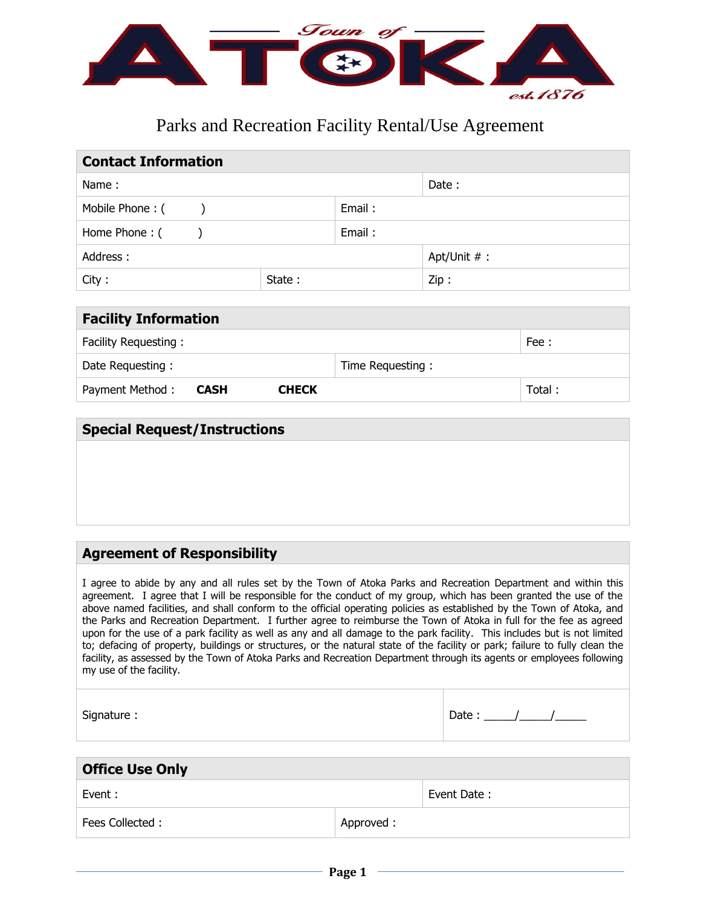

# Parks and Recreation Facility Rental/Use Agreement

| <b>Contact Information</b> |        |                |      |  |  |
|----------------------------|--------|----------------|------|--|--|
| Name:                      |        | Date:          |      |  |  |
| Mobile Phone: ()           |        | Email:         |      |  |  |
| Home Phone: (              |        | Email:         |      |  |  |
| Address:                   |        | Apt/Unit $#$ : |      |  |  |
| City:                      | State: |                | Zip: |  |  |

| <b>Facility Information</b>             |                  |        |  |  |
|-----------------------------------------|------------------|--------|--|--|
| Facility Requesting:                    |                  | Fee:   |  |  |
| Date Requesting:                        | Time Requesting: |        |  |  |
| Payment Method:<br><b>CHECK</b><br>CASH |                  | Total: |  |  |

# **Special Request/Instructions**

# **Agreement of Responsibility**

I agree to abide by any and all rules set by the Town of Atoka Parks and Recreation Department and within this agreement. I agree that I will be responsible for the conduct of my group, which has been granted the use of the above named facilities, and shall conform to the official operating policies as established by the Town of Atoka, and the Parks and Recreation Department. I further agree to reimburse the Town of Atoka in full for the fee as agreed upon for the use of a park facility as well as any and all damage to the park facility. This includes but is not limited to; defacing of property, buildings or structures, or the natural state of the facility or park; failure to fully clean the facility, as assessed by the Town of Atoka Parks and Recreation Department through its agents or employees following my use of the facility.

| Signature: | Date: |
|------------|-------|
|            |       |

| <b>Office Use Only</b> |            |             |  |  |
|------------------------|------------|-------------|--|--|
| Event :                |            | Event Date: |  |  |
| Fees Collected:        | Approved : |             |  |  |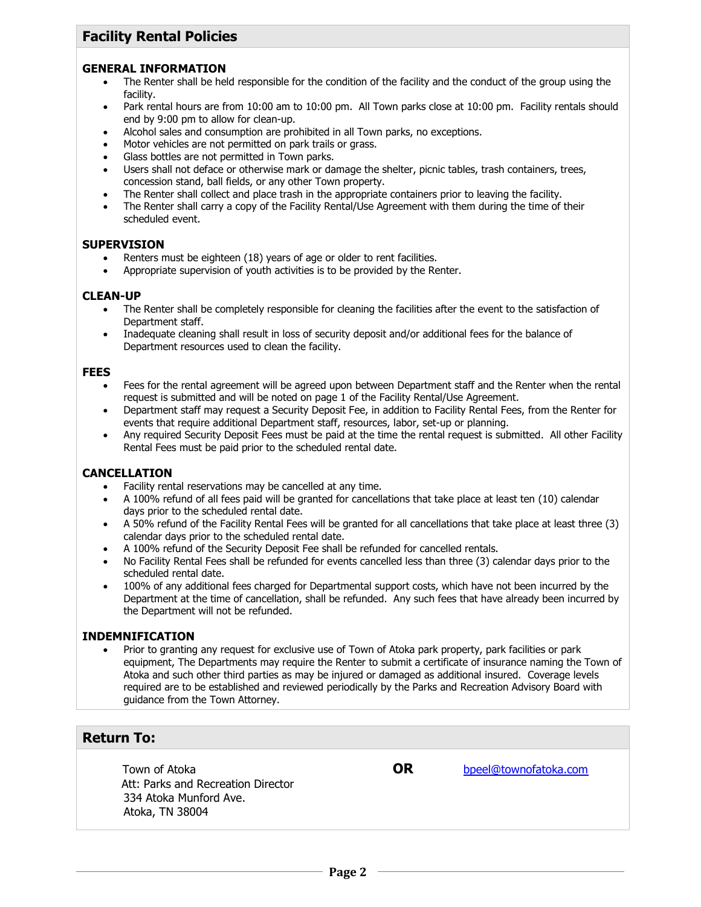# **Facility Rental Policies**

#### **GENERAL INFORMATION**

- The Renter shall be held responsible for the condition of the facility and the conduct of the group using the facility.
- Park rental hours are from 10:00 am to 10:00 pm. All Town parks close at 10:00 pm. Facility rentals should end by 9:00 pm to allow for clean-up.
- Alcohol sales and consumption are prohibited in all Town parks, no exceptions.
- Motor vehicles are not permitted on park trails or grass.
- Glass bottles are not permitted in Town parks.
- Users shall not deface or otherwise mark or damage the shelter, picnic tables, trash containers, trees, concession stand, ball fields, or any other Town property.
- The Renter shall collect and place trash in the appropriate containers prior to leaving the facility.
- The Renter shall carry a copy of the Facility Rental/Use Agreement with them during the time of their scheduled event.

#### **SUPERVISION**

- Renters must be eighteen (18) years of age or older to rent facilities.
- Appropriate supervision of youth activities is to be provided by the Renter.

### **CLEAN-UP**

- The Renter shall be completely responsible for cleaning the facilities after the event to the satisfaction of Department staff.
- Inadequate cleaning shall result in loss of security deposit and/or additional fees for the balance of Department resources used to clean the facility.

#### **FEES**

- Fees for the rental agreement will be agreed upon between Department staff and the Renter when the rental request is submitted and will be noted on page 1 of the Facility Rental/Use Agreement.
- Department staff may request a Security Deposit Fee, in addition to Facility Rental Fees, from the Renter for events that require additional Department staff, resources, labor, set-up or planning.
- Any required Security Deposit Fees must be paid at the time the rental request is submitted. All other Facility Rental Fees must be paid prior to the scheduled rental date.

### **CANCELLATION**

- Facility rental reservations may be cancelled at any time.
- A 100% refund of all fees paid will be granted for cancellations that take place at least ten (10) calendar days prior to the scheduled rental date.
- A 50% refund of the Facility Rental Fees will be granted for all cancellations that take place at least three (3) calendar days prior to the scheduled rental date.
- A 100% refund of the Security Deposit Fee shall be refunded for cancelled rentals.
- No Facility Rental Fees shall be refunded for events cancelled less than three (3) calendar days prior to the scheduled rental date.
- 100% of any additional fees charged for Departmental support costs, which have not been incurred by the Department at the time of cancellation, shall be refunded. Any such fees that have already been incurred by the Department will not be refunded.

### **INDEMNIFICATION**

 Prior to granting any request for exclusive use of Town of Atoka park property, park facilities or park equipment, The Departments may require the Renter to submit a certificate of insurance naming the Town of Atoka and such other third parties as may be injured or damaged as additional insured. Coverage levels required are to be established and reviewed periodically by the Parks and Recreation Advisory Board with guidance from the Town Attorney.

## **Return To:**

**Town of Atoka CON OR** [bpeel@townofatoka.com](mailto:bpeel@townofatoka.com) Att: Parks and Recreation Director 334 Atoka Munford Ave. Atoka, TN 38004